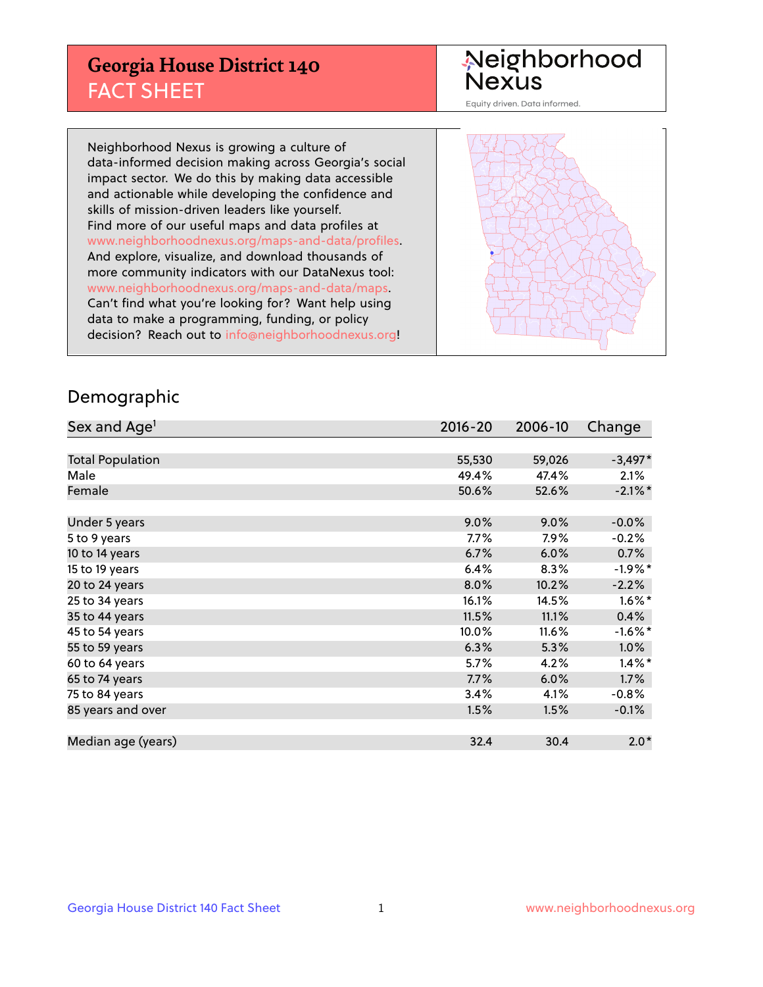## **Georgia House District 140** FACT SHEET

# Neighborhood<br>Nexus

Equity driven. Data informed.

Neighborhood Nexus is growing a culture of data-informed decision making across Georgia's social impact sector. We do this by making data accessible and actionable while developing the confidence and skills of mission-driven leaders like yourself. Find more of our useful maps and data profiles at www.neighborhoodnexus.org/maps-and-data/profiles. And explore, visualize, and download thousands of more community indicators with our DataNexus tool: www.neighborhoodnexus.org/maps-and-data/maps. Can't find what you're looking for? Want help using data to make a programming, funding, or policy decision? Reach out to [info@neighborhoodnexus.org!](mailto:info@neighborhoodnexus.org)



### Demographic

| Sex and Age <sup>1</sup> | $2016 - 20$ | 2006-10 | Change     |
|--------------------------|-------------|---------|------------|
|                          |             |         |            |
| <b>Total Population</b>  | 55,530      | 59,026  | $-3,497*$  |
| Male                     | 49.4%       | 47.4%   | 2.1%       |
| Female                   | 50.6%       | 52.6%   | $-2.1\%$ * |
|                          |             |         |            |
| Under 5 years            | 9.0%        | 9.0%    | $-0.0%$    |
| 5 to 9 years             | $7.7\%$     | 7.9%    | $-0.2%$    |
| 10 to 14 years           | 6.7%        | 6.0%    | 0.7%       |
| 15 to 19 years           | 6.4%        | 8.3%    | $-1.9%$ *  |
| 20 to 24 years           | 8.0%        | 10.2%   | $-2.2%$    |
| 25 to 34 years           | 16.1%       | 14.5%   | $1.6\%$ *  |
| 35 to 44 years           | 11.5%       | 11.1%   | 0.4%       |
| 45 to 54 years           | 10.0%       | 11.6%   | $-1.6%$ *  |
| 55 to 59 years           | 6.3%        | 5.3%    | 1.0%       |
| 60 to 64 years           | 5.7%        | 4.2%    | $1.4\%$ *  |
| 65 to 74 years           | 7.7%        | 6.0%    | 1.7%       |
| 75 to 84 years           | 3.4%        | 4.1%    | $-0.8%$    |
| 85 years and over        | 1.5%        | 1.5%    | $-0.1%$    |
|                          |             |         |            |
| Median age (years)       | 32.4        | 30.4    | $2.0*$     |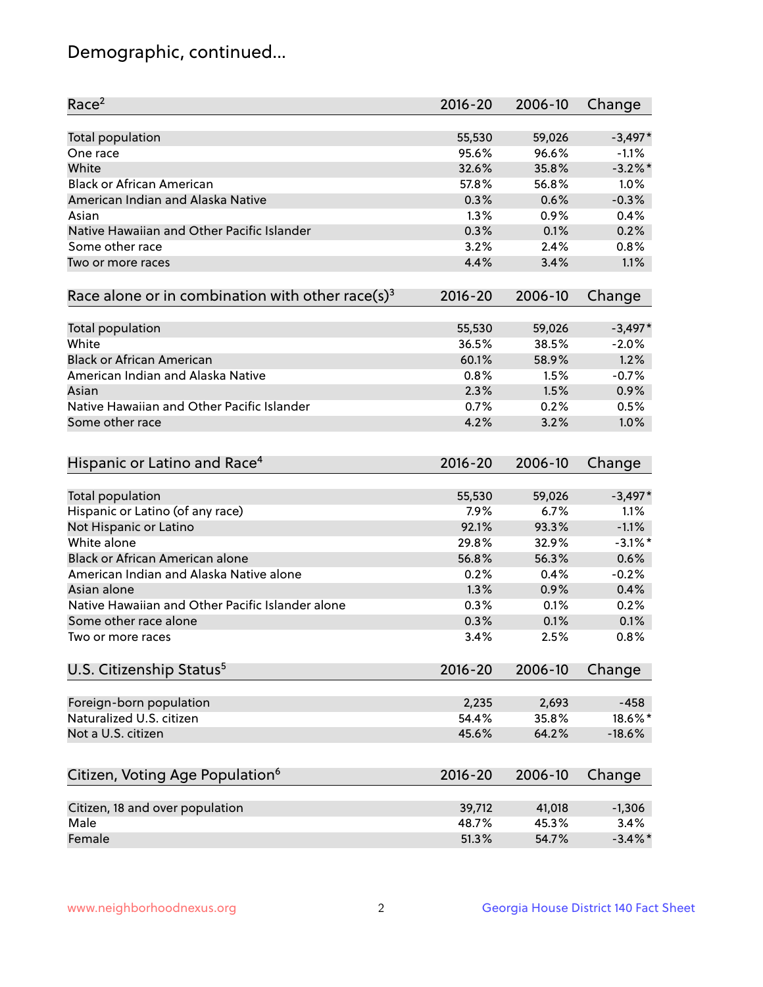## Demographic, continued...

| Race <sup>2</sup>                                            | 2016-20     | 2006-10 | Change     |
|--------------------------------------------------------------|-------------|---------|------------|
| <b>Total population</b>                                      | 55,530      | 59,026  | $-3,497*$  |
| One race                                                     | 95.6%       | 96.6%   | $-1.1%$    |
| White                                                        | 32.6%       | 35.8%   | $-3.2\%$ * |
| <b>Black or African American</b>                             | 57.8%       | 56.8%   | 1.0%       |
| American Indian and Alaska Native                            | 0.3%        | 0.6%    | $-0.3%$    |
| Asian                                                        | 1.3%        | 0.9%    | 0.4%       |
| Native Hawaiian and Other Pacific Islander                   | 0.3%        | 0.1%    | 0.2%       |
| Some other race                                              | 3.2%        | 2.4%    | 0.8%       |
| Two or more races                                            | 4.4%        | 3.4%    | 1.1%       |
|                                                              |             |         |            |
| Race alone or in combination with other race(s) <sup>3</sup> | $2016 - 20$ | 2006-10 | Change     |
| Total population                                             | 55,530      | 59,026  | $-3,497*$  |
| White                                                        | 36.5%       | 38.5%   | $-2.0%$    |
| <b>Black or African American</b>                             | 60.1%       |         | 1.2%       |
|                                                              |             | 58.9%   |            |
| American Indian and Alaska Native                            | 0.8%        | 1.5%    | $-0.7%$    |
| Asian                                                        | 2.3%        | 1.5%    | 0.9%       |
| Native Hawaiian and Other Pacific Islander                   | 0.7%        | 0.2%    | 0.5%       |
| Some other race                                              | 4.2%        | 3.2%    | 1.0%       |
| Hispanic or Latino and Race <sup>4</sup>                     | $2016 - 20$ | 2006-10 | Change     |
| Total population                                             | 55,530      | 59,026  | $-3,497*$  |
| Hispanic or Latino (of any race)                             | 7.9%        | 6.7%    | 1.1%       |
| Not Hispanic or Latino                                       | 92.1%       | 93.3%   | $-1.1%$    |
| White alone                                                  | 29.8%       | 32.9%   | $-3.1\%$ * |
| Black or African American alone                              | 56.8%       | 56.3%   | 0.6%       |
| American Indian and Alaska Native alone                      | 0.2%        | 0.4%    | $-0.2%$    |
| Asian alone                                                  | 1.3%        | 0.9%    | 0.4%       |
| Native Hawaiian and Other Pacific Islander alone             | 0.3%        | 0.1%    | 0.2%       |
| Some other race alone                                        | 0.3%        | 0.1%    | 0.1%       |
| Two or more races                                            | 3.4%        | 2.5%    | 0.8%       |
|                                                              |             |         |            |
| U.S. Citizenship Status <sup>5</sup>                         | $2016 - 20$ | 2006-10 | Change     |
| Foreign-born population                                      | 2,235       | 2,693   | $-458$     |
| Naturalized U.S. citizen                                     | 54.4%       | 35.8%   | 18.6%*     |
| Not a U.S. citizen                                           | 45.6%       | 64.2%   | $-18.6%$   |
|                                                              |             |         |            |
| Citizen, Voting Age Population <sup>6</sup>                  | $2016 - 20$ | 2006-10 | Change     |
| Citizen, 18 and over population                              | 39,712      | 41,018  | $-1,306$   |
| Male                                                         | 48.7%       | 45.3%   | 3.4%       |
| Female                                                       | 51.3%       | 54.7%   | $-3.4\%$ * |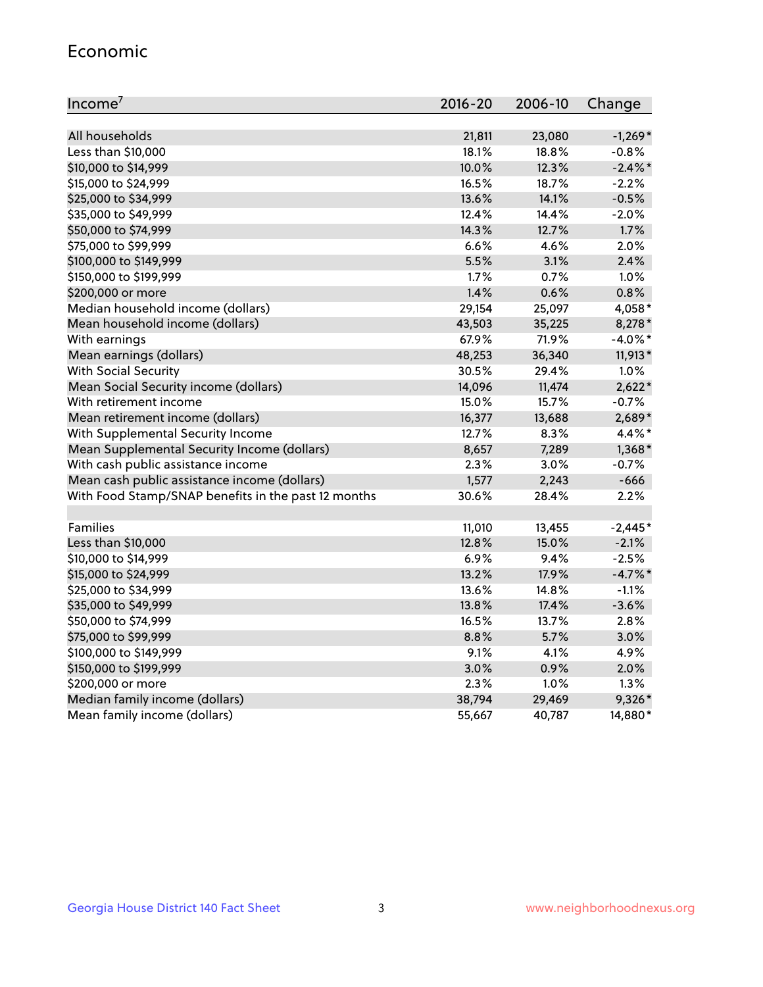#### Economic

| Income <sup>7</sup>                                 | $2016 - 20$ | 2006-10 | Change     |
|-----------------------------------------------------|-------------|---------|------------|
|                                                     |             |         |            |
| All households                                      | 21,811      | 23,080  | $-1,269*$  |
| Less than \$10,000                                  | 18.1%       | 18.8%   | $-0.8%$    |
| \$10,000 to \$14,999                                | 10.0%       | 12.3%   | $-2.4\%$ * |
| \$15,000 to \$24,999                                | 16.5%       | 18.7%   | $-2.2%$    |
| \$25,000 to \$34,999                                | 13.6%       | 14.1%   | $-0.5%$    |
| \$35,000 to \$49,999                                | 12.4%       | 14.4%   | $-2.0%$    |
| \$50,000 to \$74,999                                | 14.3%       | 12.7%   | 1.7%       |
| \$75,000 to \$99,999                                | 6.6%        | 4.6%    | 2.0%       |
| \$100,000 to \$149,999                              | 5.5%        | 3.1%    | 2.4%       |
| \$150,000 to \$199,999                              | 1.7%        | 0.7%    | 1.0%       |
| \$200,000 or more                                   | 1.4%        | 0.6%    | 0.8%       |
| Median household income (dollars)                   | 29,154      | 25,097  | 4,058*     |
| Mean household income (dollars)                     | 43,503      | 35,225  | 8,278*     |
| With earnings                                       | 67.9%       | 71.9%   | $-4.0\%$ * |
| Mean earnings (dollars)                             | 48,253      | 36,340  | 11,913*    |
| <b>With Social Security</b>                         | 30.5%       | 29.4%   | 1.0%       |
| Mean Social Security income (dollars)               | 14,096      | 11,474  | $2,622*$   |
| With retirement income                              | 15.0%       | 15.7%   | $-0.7%$    |
| Mean retirement income (dollars)                    | 16,377      | 13,688  | 2,689*     |
| With Supplemental Security Income                   | 12.7%       | 8.3%    | 4.4%*      |
| Mean Supplemental Security Income (dollars)         | 8,657       | 7,289   | $1,368*$   |
| With cash public assistance income                  | 2.3%        | 3.0%    | $-0.7\%$   |
| Mean cash public assistance income (dollars)        | 1,577       | 2,243   | $-666$     |
| With Food Stamp/SNAP benefits in the past 12 months | 30.6%       | 28.4%   | 2.2%       |
|                                                     |             |         |            |
| Families                                            | 11,010      | 13,455  | $-2,445*$  |
| Less than \$10,000                                  | 12.8%       | 15.0%   | $-2.1%$    |
| \$10,000 to \$14,999                                | 6.9%        | 9.4%    | $-2.5%$    |
| \$15,000 to \$24,999                                | 13.2%       | 17.9%   | $-4.7%$ *  |
| \$25,000 to \$34,999                                | 13.6%       | 14.8%   | $-1.1%$    |
| \$35,000 to \$49,999                                | 13.8%       | 17.4%   | $-3.6%$    |
| \$50,000 to \$74,999                                | 16.5%       | 13.7%   | 2.8%       |
| \$75,000 to \$99,999                                | 8.8%        | 5.7%    | 3.0%       |
| \$100,000 to \$149,999                              | 9.1%        | 4.1%    | 4.9%       |
| \$150,000 to \$199,999                              | 3.0%        | 0.9%    | 2.0%       |
| \$200,000 or more                                   | 2.3%        | 1.0%    | 1.3%       |
| Median family income (dollars)                      | 38,794      | 29,469  | 9,326*     |
| Mean family income (dollars)                        | 55,667      | 40,787  | 14,880*    |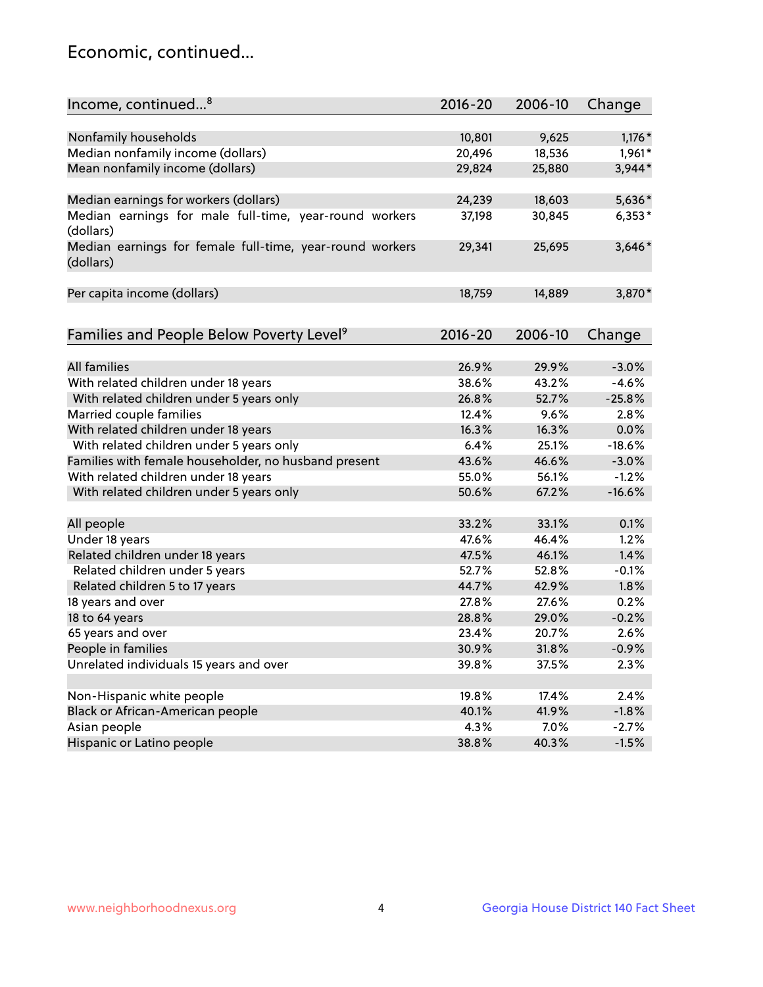## Economic, continued...

| Income, continued <sup>8</sup>                                        | $2016 - 20$ | 2006-10 | Change   |
|-----------------------------------------------------------------------|-------------|---------|----------|
|                                                                       |             |         |          |
| Nonfamily households                                                  | 10,801      | 9,625   | $1,176*$ |
| Median nonfamily income (dollars)                                     | 20,496      | 18,536  | 1,961*   |
| Mean nonfamily income (dollars)                                       | 29,824      | 25,880  | 3,944*   |
| Median earnings for workers (dollars)                                 | 24,239      | 18,603  | 5,636*   |
| Median earnings for male full-time, year-round workers                | 37,198      | 30,845  | $6,353*$ |
| (dollars)                                                             |             |         |          |
| Median earnings for female full-time, year-round workers<br>(dollars) | 29,341      | 25,695  | $3,646*$ |
| Per capita income (dollars)                                           | 18,759      | 14,889  | 3,870*   |
|                                                                       |             |         |          |
| Families and People Below Poverty Level <sup>9</sup>                  | 2016-20     | 2006-10 | Change   |
|                                                                       |             |         |          |
| <b>All families</b>                                                   | 26.9%       | 29.9%   | $-3.0%$  |
| With related children under 18 years                                  | 38.6%       | 43.2%   | $-4.6%$  |
| With related children under 5 years only                              | 26.8%       | 52.7%   | $-25.8%$ |
| Married couple families                                               | 12.4%       | 9.6%    | 2.8%     |
| With related children under 18 years                                  | 16.3%       | 16.3%   | 0.0%     |
| With related children under 5 years only                              | 6.4%        | 25.1%   | $-18.6%$ |
| Families with female householder, no husband present                  | 43.6%       | 46.6%   | $-3.0%$  |
| With related children under 18 years                                  | 55.0%       | 56.1%   | $-1.2%$  |
| With related children under 5 years only                              | 50.6%       | 67.2%   | $-16.6%$ |
| All people                                                            | 33.2%       | 33.1%   | 0.1%     |
| Under 18 years                                                        | 47.6%       | 46.4%   | 1.2%     |
| Related children under 18 years                                       | 47.5%       | 46.1%   | 1.4%     |
| Related children under 5 years                                        | 52.7%       | 52.8%   | $-0.1%$  |
| Related children 5 to 17 years                                        | 44.7%       | 42.9%   | 1.8%     |
| 18 years and over                                                     | 27.8%       | 27.6%   | 0.2%     |
|                                                                       |             |         |          |
| 18 to 64 years                                                        | 28.8%       | 29.0%   | $-0.2%$  |
| 65 years and over                                                     | 23.4%       | 20.7%   | 2.6%     |
| People in families                                                    | 30.9%       | 31.8%   | $-0.9%$  |
| Unrelated individuals 15 years and over                               | 39.8%       | 37.5%   | 2.3%     |
|                                                                       |             |         |          |
| Non-Hispanic white people                                             | 19.8%       | 17.4%   | 2.4%     |
| Black or African-American people                                      | 40.1%       | 41.9%   | $-1.8%$  |
| Asian people                                                          | 4.3%        | $7.0\%$ | $-2.7%$  |
| Hispanic or Latino people                                             | 38.8%       | 40.3%   | $-1.5%$  |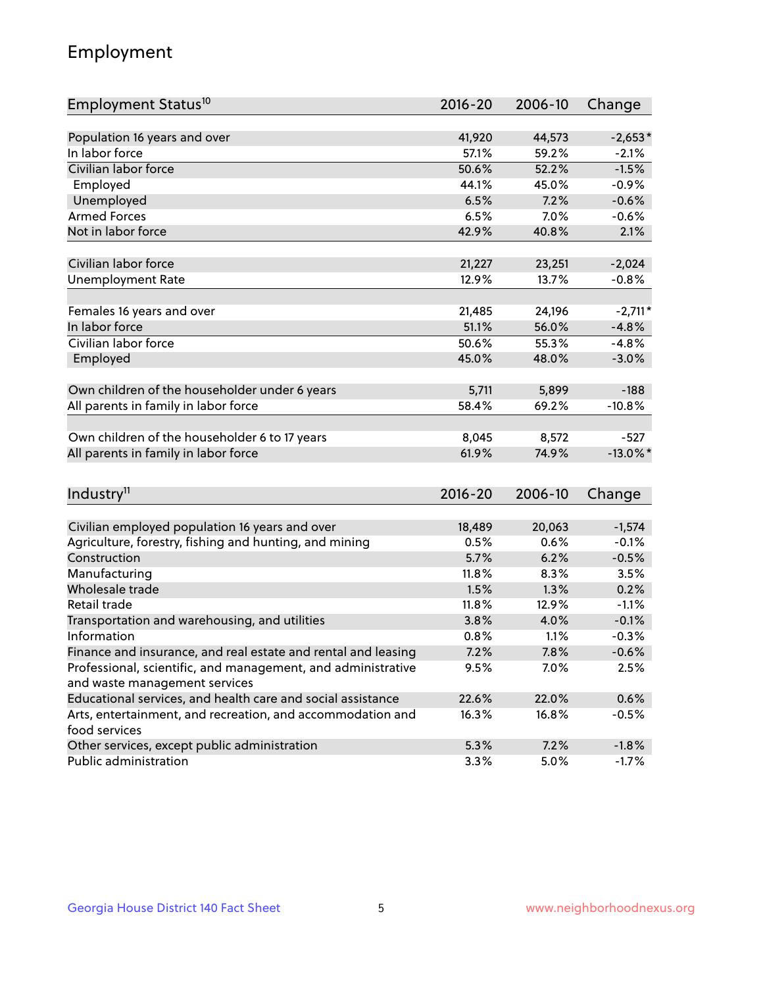## Employment

| Employment Status <sup>10</sup>                                             | $2016 - 20$ | 2006-10 | Change      |
|-----------------------------------------------------------------------------|-------------|---------|-------------|
|                                                                             |             |         |             |
| Population 16 years and over                                                | 41,920      | 44,573  | $-2,653*$   |
| In labor force                                                              | 57.1%       | 59.2%   | $-2.1%$     |
| Civilian labor force                                                        | 50.6%       | 52.2%   | $-1.5%$     |
| Employed                                                                    | 44.1%       | 45.0%   | $-0.9%$     |
| Unemployed                                                                  | 6.5%        | 7.2%    | $-0.6%$     |
| <b>Armed Forces</b>                                                         | 6.5%        | 7.0%    | $-0.6%$     |
| Not in labor force                                                          | 42.9%       | 40.8%   | 2.1%        |
|                                                                             |             |         |             |
| Civilian labor force                                                        | 21,227      | 23,251  | $-2,024$    |
| <b>Unemployment Rate</b>                                                    | 12.9%       | 13.7%   | $-0.8%$     |
| Females 16 years and over                                                   | 21,485      | 24,196  | $-2,711*$   |
| In labor force                                                              | 51.1%       | 56.0%   | $-4.8%$     |
| Civilian labor force                                                        | 50.6%       | 55.3%   | $-4.8%$     |
| Employed                                                                    | 45.0%       | 48.0%   | $-3.0%$     |
|                                                                             |             |         |             |
| Own children of the householder under 6 years                               | 5,711       | 5,899   | $-188$      |
| All parents in family in labor force                                        | 58.4%       | 69.2%   | $-10.8%$    |
|                                                                             |             |         |             |
| Own children of the householder 6 to 17 years                               | 8,045       | 8,572   | $-527$      |
| All parents in family in labor force                                        | 61.9%       | 74.9%   | $-13.0\%$ * |
|                                                                             |             |         |             |
| Industry <sup>11</sup>                                                      | $2016 - 20$ | 2006-10 | Change      |
|                                                                             |             |         |             |
| Civilian employed population 16 years and over                              | 18,489      | 20,063  | $-1,574$    |
| Agriculture, forestry, fishing and hunting, and mining                      | 0.5%        | 0.6%    | $-0.1%$     |
| Construction                                                                | 5.7%        | 6.2%    | $-0.5%$     |
| Manufacturing                                                               | 11.8%       | 8.3%    | 3.5%        |
| Wholesale trade                                                             | 1.5%        | 1.3%    | 0.2%        |
| Retail trade                                                                | 11.8%       | 12.9%   | $-1.1%$     |
| Transportation and warehousing, and utilities                               | 3.8%        | 4.0%    | $-0.1%$     |
| Information                                                                 | 0.8%        | 1.1%    | $-0.3%$     |
| Finance and insurance, and real estate and rental and leasing               | 7.2%        | 7.8%    | $-0.6%$     |
| Professional, scientific, and management, and administrative                | 9.5%        | 7.0%    | 2.5%        |
| and waste management services                                               |             |         |             |
| Educational services, and health care and social assistance                 | 22.6%       | 22.0%   | 0.6%        |
| Arts, entertainment, and recreation, and accommodation and<br>food services | 16.3%       | 16.8%   | $-0.5%$     |
| Other services, except public administration                                | 5.3%        | 7.2%    | $-1.8%$     |
| Public administration                                                       | 3.3%        | 5.0%    | $-1.7%$     |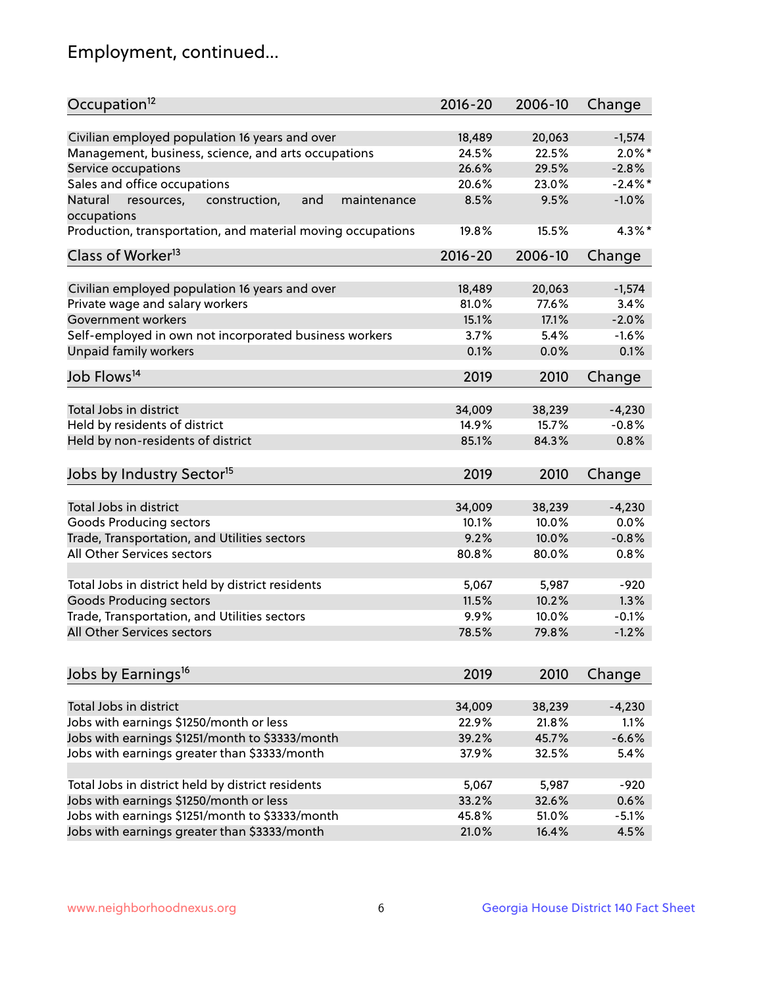## Employment, continued...

| Civilian employed population 16 years and over<br>20,063<br>18,489<br>$-1,574$<br>Management, business, science, and arts occupations<br>24.5%<br>22.5%<br>$2.0\%$ *<br>26.6%<br>Service occupations<br>29.5%<br>$-2.8%$<br>Sales and office occupations<br>$-2.4\%$ *<br>20.6%<br>23.0%<br>Natural<br>and<br>maintenance<br>8.5%<br>9.5%<br>$-1.0%$<br>resources,<br>construction,<br>4.3%*<br>19.8%<br>15.5%<br>Class of Worker <sup>13</sup><br>$2016 - 20$<br>2006-10<br>Change<br>Civilian employed population 16 years and over<br>18,489<br>20,063<br>$-1,574$<br>Private wage and salary workers<br>77.6%<br>81.0%<br>3.4%<br>Government workers<br>$-2.0%$<br>15.1%<br>17.1%<br>Self-employed in own not incorporated business workers<br>3.7%<br>$-1.6%$<br>5.4%<br>Unpaid family workers<br>0.1%<br>0.0%<br>0.1%<br>2019<br>2010<br>Change<br>Total Jobs in district<br>34,009<br>38,239<br>$-4,230$<br>$-0.8%$<br>Held by residents of district<br>14.9%<br>15.7%<br>Held by non-residents of district<br>85.1%<br>84.3%<br>0.8%<br>2019<br>2010<br>Change<br>Total Jobs in district<br>34,009<br>38,239<br>$-4,230$<br>0.0%<br>Goods Producing sectors<br>10.1%<br>10.0%<br>Trade, Transportation, and Utilities sectors<br>9.2%<br>10.0%<br>$-0.8%$<br>All Other Services sectors<br>80.8%<br>80.0%<br>0.8%<br>Total Jobs in district held by district residents<br>5,067<br>5,987<br>$-920$<br><b>Goods Producing sectors</b><br>10.2%<br>1.3%<br>11.5%<br>Trade, Transportation, and Utilities sectors<br>9.9%<br>10.0%<br>$-0.1%$<br>$-1.2%$<br>78.5%<br>79.8%<br>2019<br>2010<br>Change<br>Total Jobs in district<br>34,009<br>38,239<br>$-4,230$<br>Jobs with earnings \$1250/month or less<br>22.9%<br>21.8%<br>1.1%<br>Jobs with earnings \$1251/month to \$3333/month<br>$-6.6%$<br>39.2%<br>45.7% | Occupation <sup>12</sup>                                    | $2016 - 20$ | 2006-10 | Change |
|--------------------------------------------------------------------------------------------------------------------------------------------------------------------------------------------------------------------------------------------------------------------------------------------------------------------------------------------------------------------------------------------------------------------------------------------------------------------------------------------------------------------------------------------------------------------------------------------------------------------------------------------------------------------------------------------------------------------------------------------------------------------------------------------------------------------------------------------------------------------------------------------------------------------------------------------------------------------------------------------------------------------------------------------------------------------------------------------------------------------------------------------------------------------------------------------------------------------------------------------------------------------------------------------------------------------------------------------------------------------------------------------------------------------------------------------------------------------------------------------------------------------------------------------------------------------------------------------------------------------------------------------------------------------------------------------------------------------------------------------------------------------------------------------------------------------------|-------------------------------------------------------------|-------------|---------|--------|
|                                                                                                                                                                                                                                                                                                                                                                                                                                                                                                                                                                                                                                                                                                                                                                                                                                                                                                                                                                                                                                                                                                                                                                                                                                                                                                                                                                                                                                                                                                                                                                                                                                                                                                                                                                                                                          |                                                             |             |         |        |
|                                                                                                                                                                                                                                                                                                                                                                                                                                                                                                                                                                                                                                                                                                                                                                                                                                                                                                                                                                                                                                                                                                                                                                                                                                                                                                                                                                                                                                                                                                                                                                                                                                                                                                                                                                                                                          |                                                             |             |         |        |
|                                                                                                                                                                                                                                                                                                                                                                                                                                                                                                                                                                                                                                                                                                                                                                                                                                                                                                                                                                                                                                                                                                                                                                                                                                                                                                                                                                                                                                                                                                                                                                                                                                                                                                                                                                                                                          |                                                             |             |         |        |
|                                                                                                                                                                                                                                                                                                                                                                                                                                                                                                                                                                                                                                                                                                                                                                                                                                                                                                                                                                                                                                                                                                                                                                                                                                                                                                                                                                                                                                                                                                                                                                                                                                                                                                                                                                                                                          |                                                             |             |         |        |
|                                                                                                                                                                                                                                                                                                                                                                                                                                                                                                                                                                                                                                                                                                                                                                                                                                                                                                                                                                                                                                                                                                                                                                                                                                                                                                                                                                                                                                                                                                                                                                                                                                                                                                                                                                                                                          |                                                             |             |         |        |
|                                                                                                                                                                                                                                                                                                                                                                                                                                                                                                                                                                                                                                                                                                                                                                                                                                                                                                                                                                                                                                                                                                                                                                                                                                                                                                                                                                                                                                                                                                                                                                                                                                                                                                                                                                                                                          | occupations                                                 |             |         |        |
|                                                                                                                                                                                                                                                                                                                                                                                                                                                                                                                                                                                                                                                                                                                                                                                                                                                                                                                                                                                                                                                                                                                                                                                                                                                                                                                                                                                                                                                                                                                                                                                                                                                                                                                                                                                                                          | Production, transportation, and material moving occupations |             |         |        |
|                                                                                                                                                                                                                                                                                                                                                                                                                                                                                                                                                                                                                                                                                                                                                                                                                                                                                                                                                                                                                                                                                                                                                                                                                                                                                                                                                                                                                                                                                                                                                                                                                                                                                                                                                                                                                          |                                                             |             |         |        |
|                                                                                                                                                                                                                                                                                                                                                                                                                                                                                                                                                                                                                                                                                                                                                                                                                                                                                                                                                                                                                                                                                                                                                                                                                                                                                                                                                                                                                                                                                                                                                                                                                                                                                                                                                                                                                          |                                                             |             |         |        |
|                                                                                                                                                                                                                                                                                                                                                                                                                                                                                                                                                                                                                                                                                                                                                                                                                                                                                                                                                                                                                                                                                                                                                                                                                                                                                                                                                                                                                                                                                                                                                                                                                                                                                                                                                                                                                          |                                                             |             |         |        |
|                                                                                                                                                                                                                                                                                                                                                                                                                                                                                                                                                                                                                                                                                                                                                                                                                                                                                                                                                                                                                                                                                                                                                                                                                                                                                                                                                                                                                                                                                                                                                                                                                                                                                                                                                                                                                          |                                                             |             |         |        |
|                                                                                                                                                                                                                                                                                                                                                                                                                                                                                                                                                                                                                                                                                                                                                                                                                                                                                                                                                                                                                                                                                                                                                                                                                                                                                                                                                                                                                                                                                                                                                                                                                                                                                                                                                                                                                          |                                                             |             |         |        |
|                                                                                                                                                                                                                                                                                                                                                                                                                                                                                                                                                                                                                                                                                                                                                                                                                                                                                                                                                                                                                                                                                                                                                                                                                                                                                                                                                                                                                                                                                                                                                                                                                                                                                                                                                                                                                          |                                                             |             |         |        |
|                                                                                                                                                                                                                                                                                                                                                                                                                                                                                                                                                                                                                                                                                                                                                                                                                                                                                                                                                                                                                                                                                                                                                                                                                                                                                                                                                                                                                                                                                                                                                                                                                                                                                                                                                                                                                          |                                                             |             |         |        |
|                                                                                                                                                                                                                                                                                                                                                                                                                                                                                                                                                                                                                                                                                                                                                                                                                                                                                                                                                                                                                                                                                                                                                                                                                                                                                                                                                                                                                                                                                                                                                                                                                                                                                                                                                                                                                          | Job Flows <sup>14</sup>                                     |             |         |        |
|                                                                                                                                                                                                                                                                                                                                                                                                                                                                                                                                                                                                                                                                                                                                                                                                                                                                                                                                                                                                                                                                                                                                                                                                                                                                                                                                                                                                                                                                                                                                                                                                                                                                                                                                                                                                                          |                                                             |             |         |        |
|                                                                                                                                                                                                                                                                                                                                                                                                                                                                                                                                                                                                                                                                                                                                                                                                                                                                                                                                                                                                                                                                                                                                                                                                                                                                                                                                                                                                                                                                                                                                                                                                                                                                                                                                                                                                                          |                                                             |             |         |        |
|                                                                                                                                                                                                                                                                                                                                                                                                                                                                                                                                                                                                                                                                                                                                                                                                                                                                                                                                                                                                                                                                                                                                                                                                                                                                                                                                                                                                                                                                                                                                                                                                                                                                                                                                                                                                                          |                                                             |             |         |        |
|                                                                                                                                                                                                                                                                                                                                                                                                                                                                                                                                                                                                                                                                                                                                                                                                                                                                                                                                                                                                                                                                                                                                                                                                                                                                                                                                                                                                                                                                                                                                                                                                                                                                                                                                                                                                                          |                                                             |             |         |        |
|                                                                                                                                                                                                                                                                                                                                                                                                                                                                                                                                                                                                                                                                                                                                                                                                                                                                                                                                                                                                                                                                                                                                                                                                                                                                                                                                                                                                                                                                                                                                                                                                                                                                                                                                                                                                                          | Jobs by Industry Sector <sup>15</sup>                       |             |         |        |
|                                                                                                                                                                                                                                                                                                                                                                                                                                                                                                                                                                                                                                                                                                                                                                                                                                                                                                                                                                                                                                                                                                                                                                                                                                                                                                                                                                                                                                                                                                                                                                                                                                                                                                                                                                                                                          |                                                             |             |         |        |
|                                                                                                                                                                                                                                                                                                                                                                                                                                                                                                                                                                                                                                                                                                                                                                                                                                                                                                                                                                                                                                                                                                                                                                                                                                                                                                                                                                                                                                                                                                                                                                                                                                                                                                                                                                                                                          |                                                             |             |         |        |
|                                                                                                                                                                                                                                                                                                                                                                                                                                                                                                                                                                                                                                                                                                                                                                                                                                                                                                                                                                                                                                                                                                                                                                                                                                                                                                                                                                                                                                                                                                                                                                                                                                                                                                                                                                                                                          |                                                             |             |         |        |
|                                                                                                                                                                                                                                                                                                                                                                                                                                                                                                                                                                                                                                                                                                                                                                                                                                                                                                                                                                                                                                                                                                                                                                                                                                                                                                                                                                                                                                                                                                                                                                                                                                                                                                                                                                                                                          |                                                             |             |         |        |
|                                                                                                                                                                                                                                                                                                                                                                                                                                                                                                                                                                                                                                                                                                                                                                                                                                                                                                                                                                                                                                                                                                                                                                                                                                                                                                                                                                                                                                                                                                                                                                                                                                                                                                                                                                                                                          |                                                             |             |         |        |
|                                                                                                                                                                                                                                                                                                                                                                                                                                                                                                                                                                                                                                                                                                                                                                                                                                                                                                                                                                                                                                                                                                                                                                                                                                                                                                                                                                                                                                                                                                                                                                                                                                                                                                                                                                                                                          |                                                             |             |         |        |
|                                                                                                                                                                                                                                                                                                                                                                                                                                                                                                                                                                                                                                                                                                                                                                                                                                                                                                                                                                                                                                                                                                                                                                                                                                                                                                                                                                                                                                                                                                                                                                                                                                                                                                                                                                                                                          |                                                             |             |         |        |
|                                                                                                                                                                                                                                                                                                                                                                                                                                                                                                                                                                                                                                                                                                                                                                                                                                                                                                                                                                                                                                                                                                                                                                                                                                                                                                                                                                                                                                                                                                                                                                                                                                                                                                                                                                                                                          |                                                             |             |         |        |
|                                                                                                                                                                                                                                                                                                                                                                                                                                                                                                                                                                                                                                                                                                                                                                                                                                                                                                                                                                                                                                                                                                                                                                                                                                                                                                                                                                                                                                                                                                                                                                                                                                                                                                                                                                                                                          | All Other Services sectors                                  |             |         |        |
|                                                                                                                                                                                                                                                                                                                                                                                                                                                                                                                                                                                                                                                                                                                                                                                                                                                                                                                                                                                                                                                                                                                                                                                                                                                                                                                                                                                                                                                                                                                                                                                                                                                                                                                                                                                                                          |                                                             |             |         |        |
|                                                                                                                                                                                                                                                                                                                                                                                                                                                                                                                                                                                                                                                                                                                                                                                                                                                                                                                                                                                                                                                                                                                                                                                                                                                                                                                                                                                                                                                                                                                                                                                                                                                                                                                                                                                                                          | Jobs by Earnings <sup>16</sup>                              |             |         |        |
|                                                                                                                                                                                                                                                                                                                                                                                                                                                                                                                                                                                                                                                                                                                                                                                                                                                                                                                                                                                                                                                                                                                                                                                                                                                                                                                                                                                                                                                                                                                                                                                                                                                                                                                                                                                                                          |                                                             |             |         |        |
|                                                                                                                                                                                                                                                                                                                                                                                                                                                                                                                                                                                                                                                                                                                                                                                                                                                                                                                                                                                                                                                                                                                                                                                                                                                                                                                                                                                                                                                                                                                                                                                                                                                                                                                                                                                                                          |                                                             |             |         |        |
|                                                                                                                                                                                                                                                                                                                                                                                                                                                                                                                                                                                                                                                                                                                                                                                                                                                                                                                                                                                                                                                                                                                                                                                                                                                                                                                                                                                                                                                                                                                                                                                                                                                                                                                                                                                                                          |                                                             |             |         |        |
|                                                                                                                                                                                                                                                                                                                                                                                                                                                                                                                                                                                                                                                                                                                                                                                                                                                                                                                                                                                                                                                                                                                                                                                                                                                                                                                                                                                                                                                                                                                                                                                                                                                                                                                                                                                                                          |                                                             |             |         |        |
| 5.4%<br>37.9%<br>32.5%                                                                                                                                                                                                                                                                                                                                                                                                                                                                                                                                                                                                                                                                                                                                                                                                                                                                                                                                                                                                                                                                                                                                                                                                                                                                                                                                                                                                                                                                                                                                                                                                                                                                                                                                                                                                   | Jobs with earnings greater than \$3333/month                |             |         |        |
| 5,067<br>5,987<br>$-920$                                                                                                                                                                                                                                                                                                                                                                                                                                                                                                                                                                                                                                                                                                                                                                                                                                                                                                                                                                                                                                                                                                                                                                                                                                                                                                                                                                                                                                                                                                                                                                                                                                                                                                                                                                                                 | Total Jobs in district held by district residents           |             |         |        |
| 32.6%<br>0.6%<br>33.2%                                                                                                                                                                                                                                                                                                                                                                                                                                                                                                                                                                                                                                                                                                                                                                                                                                                                                                                                                                                                                                                                                                                                                                                                                                                                                                                                                                                                                                                                                                                                                                                                                                                                                                                                                                                                   | Jobs with earnings \$1250/month or less                     |             |         |        |
| 45.8%<br>51.0%<br>$-5.1%$                                                                                                                                                                                                                                                                                                                                                                                                                                                                                                                                                                                                                                                                                                                                                                                                                                                                                                                                                                                                                                                                                                                                                                                                                                                                                                                                                                                                                                                                                                                                                                                                                                                                                                                                                                                                | Jobs with earnings \$1251/month to \$3333/month             |             |         |        |
| 21.0%<br>16.4%<br>4.5%                                                                                                                                                                                                                                                                                                                                                                                                                                                                                                                                                                                                                                                                                                                                                                                                                                                                                                                                                                                                                                                                                                                                                                                                                                                                                                                                                                                                                                                                                                                                                                                                                                                                                                                                                                                                   | Jobs with earnings greater than \$3333/month                |             |         |        |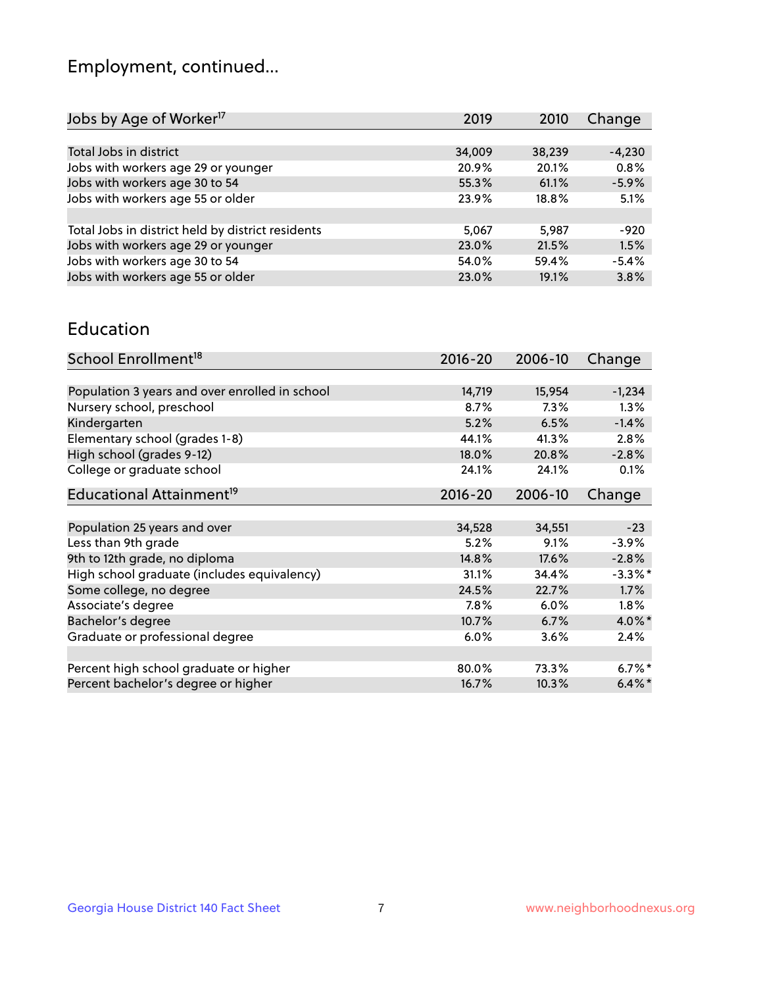## Employment, continued...

| 2019   | 2010   | Change   |
|--------|--------|----------|
|        |        |          |
| 34,009 | 38,239 | $-4,230$ |
| 20.9%  | 20.1%  | 0.8%     |
| 55.3%  | 61.1%  | $-5.9%$  |
| 23.9%  | 18.8%  | 5.1%     |
|        |        |          |
| 5,067  | 5.987  | -920     |
| 23.0%  | 21.5%  | 1.5%     |
| 54.0%  | 59.4%  | $-5.4%$  |
| 23.0%  | 19.1%  | 3.8%     |
|        |        |          |

#### Education

| School Enrollment <sup>18</sup>                | $2016 - 20$ | 2006-10 | Change     |
|------------------------------------------------|-------------|---------|------------|
|                                                |             |         |            |
| Population 3 years and over enrolled in school | 14,719      | 15,954  | $-1,234$   |
| Nursery school, preschool                      | 8.7%        | 7.3%    | $1.3\%$    |
| Kindergarten                                   | 5.2%        | 6.5%    | $-1.4%$    |
| Elementary school (grades 1-8)                 | 44.1%       | 41.3%   | 2.8%       |
| High school (grades 9-12)                      | 18.0%       | 20.8%   | $-2.8%$    |
| College or graduate school                     | 24.1%       | 24.1%   | 0.1%       |
| Educational Attainment <sup>19</sup>           | $2016 - 20$ | 2006-10 | Change     |
|                                                |             |         |            |
| Population 25 years and over                   | 34,528      | 34,551  | $-23$      |
| Less than 9th grade                            | 5.2%        | 9.1%    | $-3.9%$    |
| 9th to 12th grade, no diploma                  | 14.8%       | 17.6%   | $-2.8%$    |
| High school graduate (includes equivalency)    | 31.1%       | 34.4%   | $-3.3\%$ * |
| Some college, no degree                        | 24.5%       | 22.7%   | 1.7%       |
| Associate's degree                             | 7.8%        | 6.0%    | 1.8%       |
| Bachelor's degree                              | 10.7%       | 6.7%    | 4.0%*      |
| Graduate or professional degree                | 6.0%        | 3.6%    | 2.4%       |
|                                                |             |         |            |
| Percent high school graduate or higher         | 80.0%       | 73.3%   | $6.7\%$ *  |
| Percent bachelor's degree or higher            | 16.7%       | 10.3%   | $6.4\%$ *  |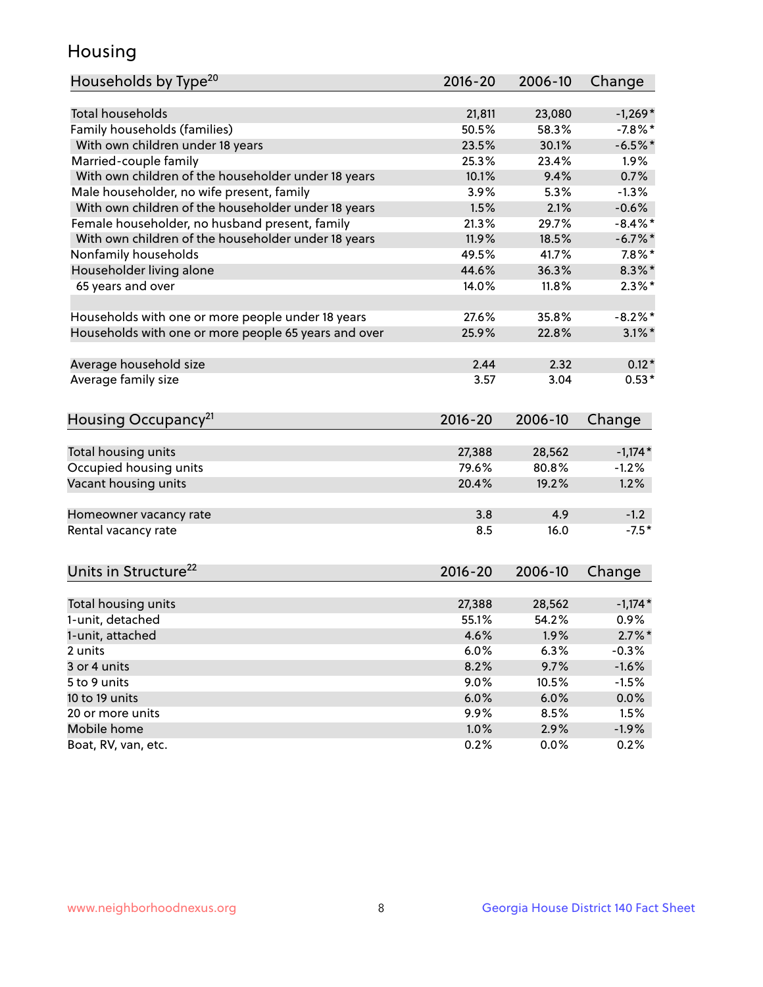## Housing

| Households by Type <sup>20</sup>                     | 2016-20 | 2006-10 | Change     |
|------------------------------------------------------|---------|---------|------------|
|                                                      |         |         |            |
| <b>Total households</b>                              | 21,811  | 23,080  | $-1,269*$  |
| Family households (families)                         | 50.5%   | 58.3%   | $-7.8%$ *  |
| With own children under 18 years                     | 23.5%   | 30.1%   | $-6.5%$ *  |
| Married-couple family                                | 25.3%   | 23.4%   | 1.9%       |
| With own children of the householder under 18 years  | 10.1%   | 9.4%    | 0.7%       |
| Male householder, no wife present, family            | 3.9%    | 5.3%    | $-1.3%$    |
| With own children of the householder under 18 years  | 1.5%    | 2.1%    | $-0.6%$    |
| Female householder, no husband present, family       | 21.3%   | 29.7%   | $-8.4\%$ * |
| With own children of the householder under 18 years  | 11.9%   | 18.5%   | $-6.7\%$ * |
| Nonfamily households                                 | 49.5%   | 41.7%   | $7.8\%$ *  |
| Householder living alone                             | 44.6%   | 36.3%   | $8.3\%$ *  |
| 65 years and over                                    | 14.0%   | 11.8%   | $2.3\%$ *  |
| Households with one or more people under 18 years    | 27.6%   | 35.8%   | $-8.2%$ *  |
| Households with one or more people 65 years and over | 25.9%   | 22.8%   | $3.1\%$ *  |
|                                                      |         |         |            |
| Average household size                               | 2.44    | 2.32    | $0.12*$    |
| Average family size                                  | 3.57    | 3.04    | $0.53*$    |
| Housing Occupancy <sup>21</sup>                      | 2016-20 | 2006-10 | Change     |
| Total housing units                                  | 27,388  | 28,562  | $-1,174*$  |
| Occupied housing units                               | 79.6%   | 80.8%   | $-1.2%$    |
| Vacant housing units                                 | 20.4%   | 19.2%   | 1.2%       |
| Homeowner vacancy rate                               | 3.8     | 4.9     | $-1.2$     |
| Rental vacancy rate                                  | 8.5     | 16.0    | $-7.5*$    |
|                                                      |         |         |            |
| Units in Structure <sup>22</sup>                     | 2016-20 | 2006-10 | Change     |
| Total housing units                                  | 27,388  | 28,562  | $-1,174*$  |
| 1-unit, detached                                     | 55.1%   | 54.2%   | 0.9%       |
| 1-unit, attached                                     | 4.6%    | 1.9%    | $2.7\%$ *  |
| 2 units                                              | 6.0%    | 6.3%    | $-0.3%$    |
| 3 or 4 units                                         | 8.2%    | 9.7%    | $-1.6%$    |
| 5 to 9 units                                         | 9.0%    | 10.5%   | $-1.5%$    |
| 10 to 19 units                                       | 6.0%    | 6.0%    | $0.0\%$    |
| 20 or more units                                     | 9.9%    | 8.5%    | 1.5%       |
| Mobile home                                          | 1.0%    | 2.9%    | $-1.9\%$   |
| Boat, RV, van, etc.                                  | 0.2%    | 0.0%    | 0.2%       |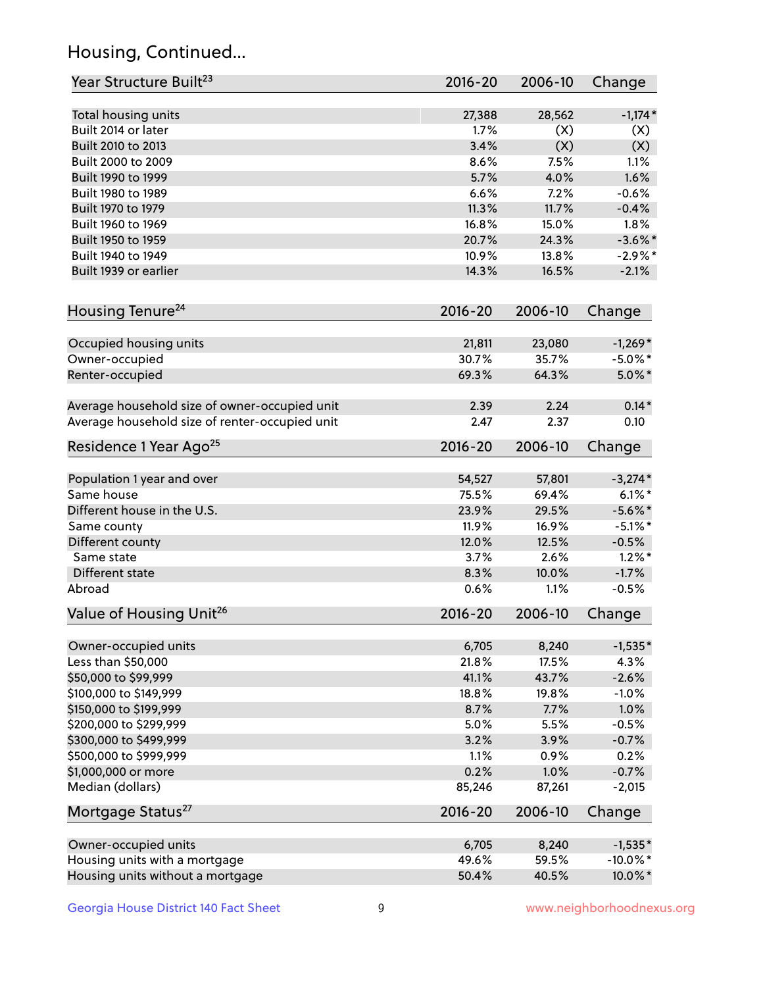## Housing, Continued...

| Year Structure Built <sup>23</sup>             | 2016-20     | 2006-10 | Change      |
|------------------------------------------------|-------------|---------|-------------|
| Total housing units                            | 27,388      | 28,562  | $-1,174*$   |
| Built 2014 or later                            | 1.7%        | (X)     | (X)         |
| Built 2010 to 2013                             | 3.4%        | (X)     | (X)         |
| Built 2000 to 2009                             | 8.6%        | 7.5%    | 1.1%        |
| Built 1990 to 1999                             | 5.7%        | 4.0%    | 1.6%        |
| Built 1980 to 1989                             | 6.6%        | 7.2%    | $-0.6%$     |
| Built 1970 to 1979                             | 11.3%       | 11.7%   | $-0.4%$     |
| Built 1960 to 1969                             | 16.8%       | 15.0%   | 1.8%        |
| Built 1950 to 1959                             | 20.7%       | 24.3%   | $-3.6\%$ *  |
| Built 1940 to 1949                             | 10.9%       | 13.8%   | $-2.9\%$ *  |
| Built 1939 or earlier                          | 14.3%       | 16.5%   | $-2.1%$     |
| Housing Tenure <sup>24</sup>                   | $2016 - 20$ | 2006-10 | Change      |
|                                                |             |         |             |
| Occupied housing units                         | 21,811      | 23,080  | $-1,269*$   |
| Owner-occupied                                 | 30.7%       | 35.7%   | $-5.0\%$ *  |
| Renter-occupied                                | 69.3%       | 64.3%   | $5.0\%$ *   |
| Average household size of owner-occupied unit  | 2.39        | 2.24    | $0.14*$     |
| Average household size of renter-occupied unit | 2.47        | 2.37    | 0.10        |
| Residence 1 Year Ago <sup>25</sup>             | 2016-20     | 2006-10 | Change      |
| Population 1 year and over                     | 54,527      | 57,801  | $-3,274*$   |
| Same house                                     | 75.5%       | 69.4%   | $6.1\%$ *   |
| Different house in the U.S.                    | 23.9%       | 29.5%   | $-5.6\%$ *  |
| Same county                                    | 11.9%       | 16.9%   | $-5.1\%$ *  |
| Different county                               | 12.0%       | 12.5%   | $-0.5%$     |
| Same state                                     | 3.7%        | 2.6%    | $1.2\%$ *   |
| Different state                                | 8.3%        | 10.0%   | $-1.7%$     |
| Abroad                                         | 0.6%        | 1.1%    | $-0.5%$     |
| Value of Housing Unit <sup>26</sup>            | 2016-20     | 2006-10 | Change      |
| Owner-occupied units                           | 6,705       | 8,240   | $-1,535*$   |
| Less than \$50,000                             | 21.8%       | 17.5%   | 4.3%        |
| \$50,000 to \$99,999                           | 41.1%       | 43.7%   | $-2.6%$     |
| \$100,000 to \$149,999                         | 18.8%       | 19.8%   | $-1.0%$     |
| \$150,000 to \$199,999                         | 8.7%        | 7.7%    | 1.0%        |
| \$200,000 to \$299,999                         | 5.0%        | 5.5%    | $-0.5%$     |
| \$300,000 to \$499,999                         | 3.2%        | 3.9%    | $-0.7%$     |
| \$500,000 to \$999,999                         | 1.1%        | 0.9%    | 0.2%        |
| \$1,000,000 or more                            | 0.2%        | 1.0%    | $-0.7%$     |
| Median (dollars)                               | 85,246      | 87,261  | $-2,015$    |
| Mortgage Status <sup>27</sup>                  | 2016-20     | 2006-10 | Change      |
|                                                |             |         |             |
| Owner-occupied units                           | 6,705       | 8,240   | $-1,535*$   |
| Housing units with a mortgage                  | 49.6%       | 59.5%   | $-10.0\%$ * |
| Housing units without a mortgage               | 50.4%       | 40.5%   | 10.0%*      |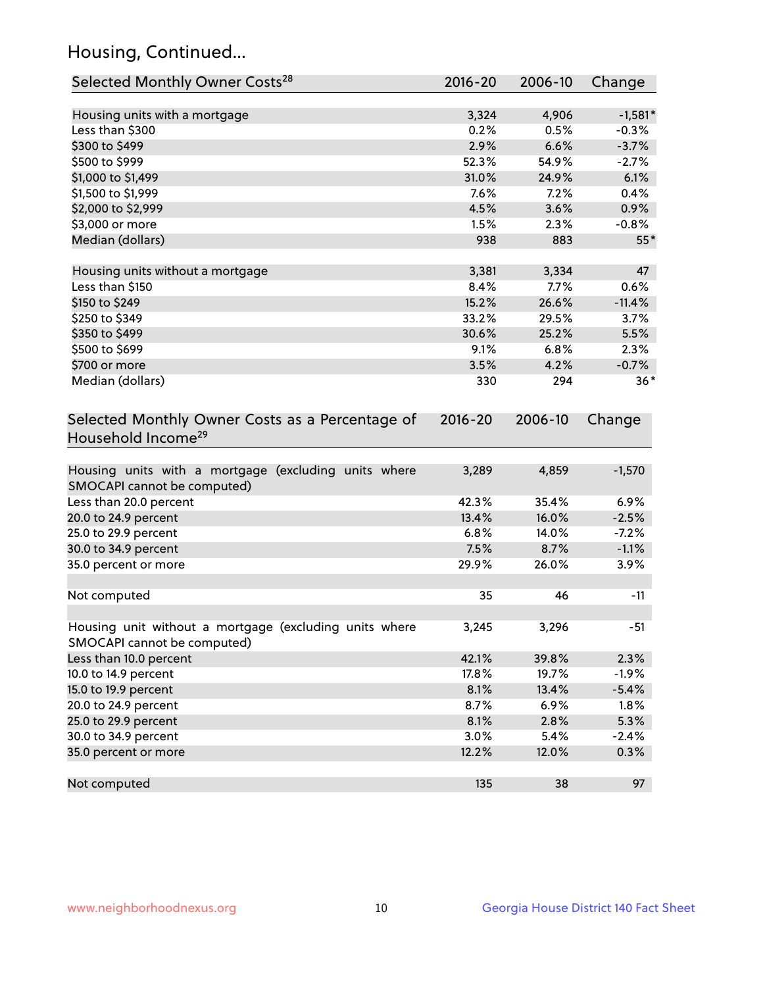## Housing, Continued...

| Selected Monthly Owner Costs <sup>28</sup>                                            | 2016-20 | 2006-10 | Change    |
|---------------------------------------------------------------------------------------|---------|---------|-----------|
| Housing units with a mortgage                                                         | 3,324   | 4,906   | $-1,581*$ |
| Less than \$300                                                                       | 0.2%    | 0.5%    | $-0.3%$   |
| \$300 to \$499                                                                        | 2.9%    | 6.6%    | $-3.7%$   |
| \$500 to \$999                                                                        | 52.3%   | 54.9%   | $-2.7%$   |
| \$1,000 to \$1,499                                                                    | 31.0%   | 24.9%   | 6.1%      |
| \$1,500 to \$1,999                                                                    | 7.6%    | 7.2%    | 0.4%      |
| \$2,000 to \$2,999                                                                    | 4.5%    | 3.6%    | 0.9%      |
| \$3,000 or more                                                                       | 1.5%    | 2.3%    | $-0.8%$   |
| Median (dollars)                                                                      | 938     | 883     | $55*$     |
| Housing units without a mortgage                                                      | 3,381   | 3,334   | 47        |
| Less than \$150                                                                       | 8.4%    | 7.7%    | 0.6%      |
| \$150 to \$249                                                                        | 15.2%   | 26.6%   | $-11.4%$  |
| \$250 to \$349                                                                        | 33.2%   | 29.5%   | 3.7%      |
| \$350 to \$499                                                                        | 30.6%   | 25.2%   | 5.5%      |
| \$500 to \$699                                                                        | 9.1%    | 6.8%    | 2.3%      |
| \$700 or more                                                                         | 3.5%    | 4.2%    | $-0.7%$   |
| Median (dollars)                                                                      | 330     | 294     | $36*$     |
| Household Income <sup>29</sup>                                                        |         |         |           |
| Housing units with a mortgage (excluding units where<br>SMOCAPI cannot be computed)   | 3,289   | 4,859   | $-1,570$  |
| Less than 20.0 percent                                                                | 42.3%   | 35.4%   | 6.9%      |
| 20.0 to 24.9 percent                                                                  | 13.4%   | 16.0%   | $-2.5%$   |
| 25.0 to 29.9 percent                                                                  | 6.8%    | 14.0%   | $-7.2%$   |
| 30.0 to 34.9 percent                                                                  | 7.5%    | 8.7%    | $-1.1%$   |
| 35.0 percent or more                                                                  | 29.9%   | 26.0%   | 3.9%      |
| Not computed                                                                          | 35      | 46      | $-11$     |
| Housing unit without a mortgage (excluding units where<br>SMOCAPI cannot be computed) | 3,245   | 3,296   | $-51$     |
| Less than 10.0 percent                                                                | 42.1%   | 39.8%   | 2.3%      |
| 10.0 to 14.9 percent                                                                  | 17.8%   | 19.7%   | $-1.9%$   |
| 15.0 to 19.9 percent                                                                  | 8.1%    | 13.4%   | $-5.4%$   |
| 20.0 to 24.9 percent                                                                  | 8.7%    | 6.9%    | 1.8%      |
| 25.0 to 29.9 percent                                                                  | 8.1%    | 2.8%    | 5.3%      |
| 30.0 to 34.9 percent                                                                  | 3.0%    | 5.4%    | $-2.4%$   |
| 35.0 percent or more                                                                  | 12.2%   | 12.0%   | 0.3%      |
| Not computed                                                                          | 135     | 38      | 97        |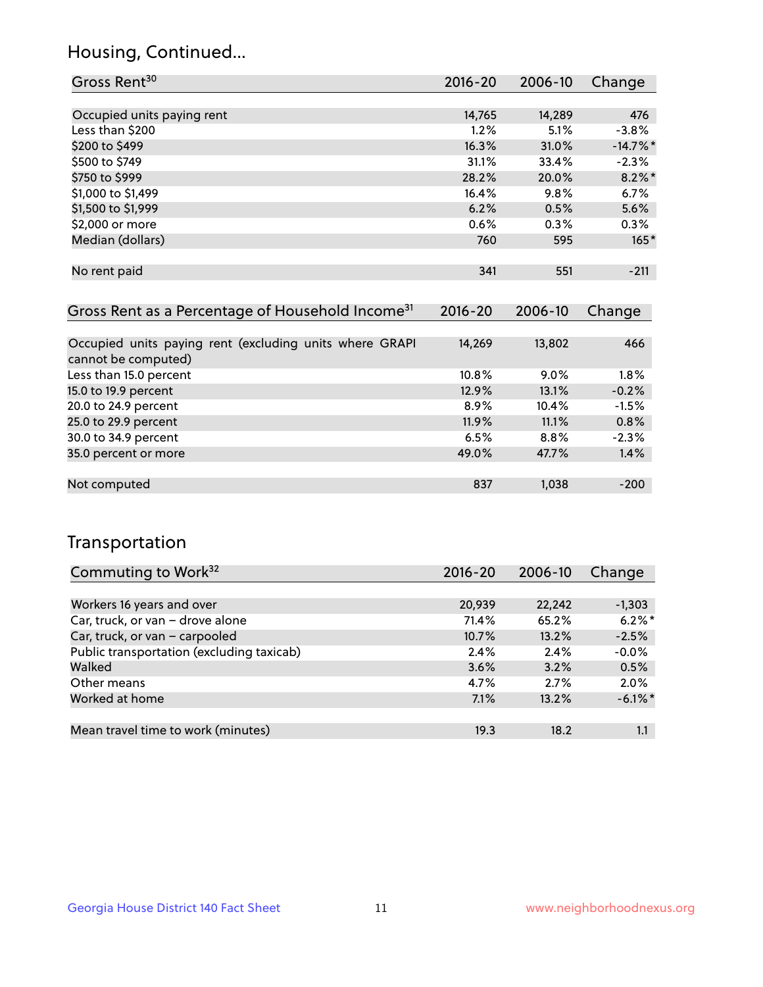## Housing, Continued...

| Gross Rent <sup>30</sup>   | 2016-20 | 2006-10 | Change      |
|----------------------------|---------|---------|-------------|
|                            |         |         |             |
| Occupied units paying rent | 14,765  | 14,289  | 476         |
| Less than \$200            | 1.2%    | 5.1%    | $-3.8%$     |
| \$200 to \$499             | 16.3%   | 31.0%   | $-14.7\%$ * |
| \$500 to \$749             | 31.1%   | 33.4%   | $-2.3%$     |
| \$750 to \$999             | 28.2%   | 20.0%   | $8.2\%$ *   |
| \$1,000 to \$1,499         | 16.4%   | 9.8%    | 6.7%        |
| \$1,500 to \$1,999         | 6.2%    | 0.5%    | 5.6%        |
| \$2,000 or more            | 0.6%    | 0.3%    | 0.3%        |
| Median (dollars)           | 760     | 595     | $165*$      |
|                            |         |         |             |
| No rent paid               | 341     | 551     | $-211$      |
|                            |         |         |             |

| Gross Rent as a Percentage of Household Income <sup>31</sup>                   | $2016 - 20$ | 2006-10 | Change  |
|--------------------------------------------------------------------------------|-------------|---------|---------|
|                                                                                |             |         |         |
| Occupied units paying rent (excluding units where GRAPI<br>cannot be computed) | 14,269      | 13,802  | 466     |
| Less than 15.0 percent                                                         | 10.8%       | $9.0\%$ | 1.8%    |
| 15.0 to 19.9 percent                                                           | 12.9%       | 13.1%   | $-0.2%$ |
| 20.0 to 24.9 percent                                                           | $8.9\%$     | 10.4%   | $-1.5%$ |
| 25.0 to 29.9 percent                                                           | 11.9%       | 11.1%   | 0.8%    |
| 30.0 to 34.9 percent                                                           | 6.5%        | $8.8\%$ | $-2.3%$ |
| 35.0 percent or more                                                           | 49.0%       | 47.7%   | 1.4%    |
|                                                                                |             |         |         |
| Not computed                                                                   | 837         | 1,038   | $-200$  |

## Transportation

| Commuting to Work <sup>32</sup>           | 2016-20 | 2006-10 | Change     |
|-------------------------------------------|---------|---------|------------|
|                                           |         |         |            |
| Workers 16 years and over                 | 20,939  | 22,242  | $-1,303$   |
| Car, truck, or van - drove alone          | 71.4%   | 65.2%   | $6.2\%$ *  |
| Car, truck, or van - carpooled            | 10.7%   | 13.2%   | $-2.5%$    |
| Public transportation (excluding taxicab) | 2.4%    | 2.4%    | $-0.0%$    |
| Walked                                    | 3.6%    | 3.2%    | 0.5%       |
| Other means                               | 4.7%    | 2.7%    | 2.0%       |
| Worked at home                            | 7.1%    | 13.2%   | $-6.1\%$ * |
|                                           |         |         |            |
| Mean travel time to work (minutes)        | 19.3    | 18.2    | 1.1        |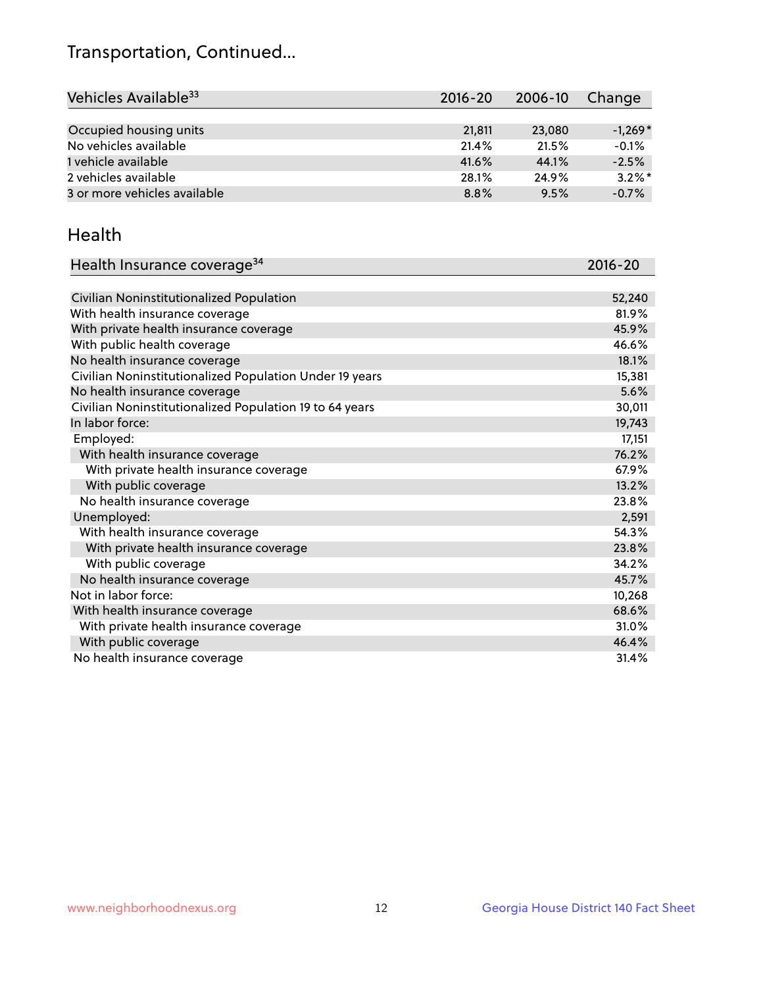## Transportation, Continued...

| Vehicles Available <sup>33</sup> | $2016 - 20$ | 2006-10 | Change    |
|----------------------------------|-------------|---------|-----------|
|                                  |             |         |           |
| Occupied housing units           | 21,811      | 23,080  | $-1,269*$ |
| No vehicles available            | 21.4%       | 21.5%   | $-0.1%$   |
| 1 vehicle available              | 41.6%       | 44.1%   | $-2.5%$   |
| 2 vehicles available             | 28.1%       | 24.9%   | $3.2\%$ * |
| 3 or more vehicles available     | 8.8%        | 9.5%    | $-0.7%$   |

#### Health

| Health Insurance coverage <sup>34</sup>                 | 2016-20 |
|---------------------------------------------------------|---------|
|                                                         |         |
| Civilian Noninstitutionalized Population                | 52,240  |
| With health insurance coverage                          | 81.9%   |
| With private health insurance coverage                  | 45.9%   |
| With public health coverage                             | 46.6%   |
| No health insurance coverage                            | 18.1%   |
| Civilian Noninstitutionalized Population Under 19 years | 15,381  |
| No health insurance coverage                            | 5.6%    |
| Civilian Noninstitutionalized Population 19 to 64 years | 30,011  |
| In labor force:                                         | 19,743  |
| Employed:                                               | 17,151  |
| With health insurance coverage                          | 76.2%   |
| With private health insurance coverage                  | 67.9%   |
| With public coverage                                    | 13.2%   |
| No health insurance coverage                            | 23.8%   |
| Unemployed:                                             | 2,591   |
| With health insurance coverage                          | 54.3%   |
| With private health insurance coverage                  | 23.8%   |
| With public coverage                                    | 34.2%   |
| No health insurance coverage                            | 45.7%   |
| Not in labor force:                                     | 10,268  |
| With health insurance coverage                          | 68.6%   |
| With private health insurance coverage                  | 31.0%   |
| With public coverage                                    | 46.4%   |
| No health insurance coverage                            | 31.4%   |